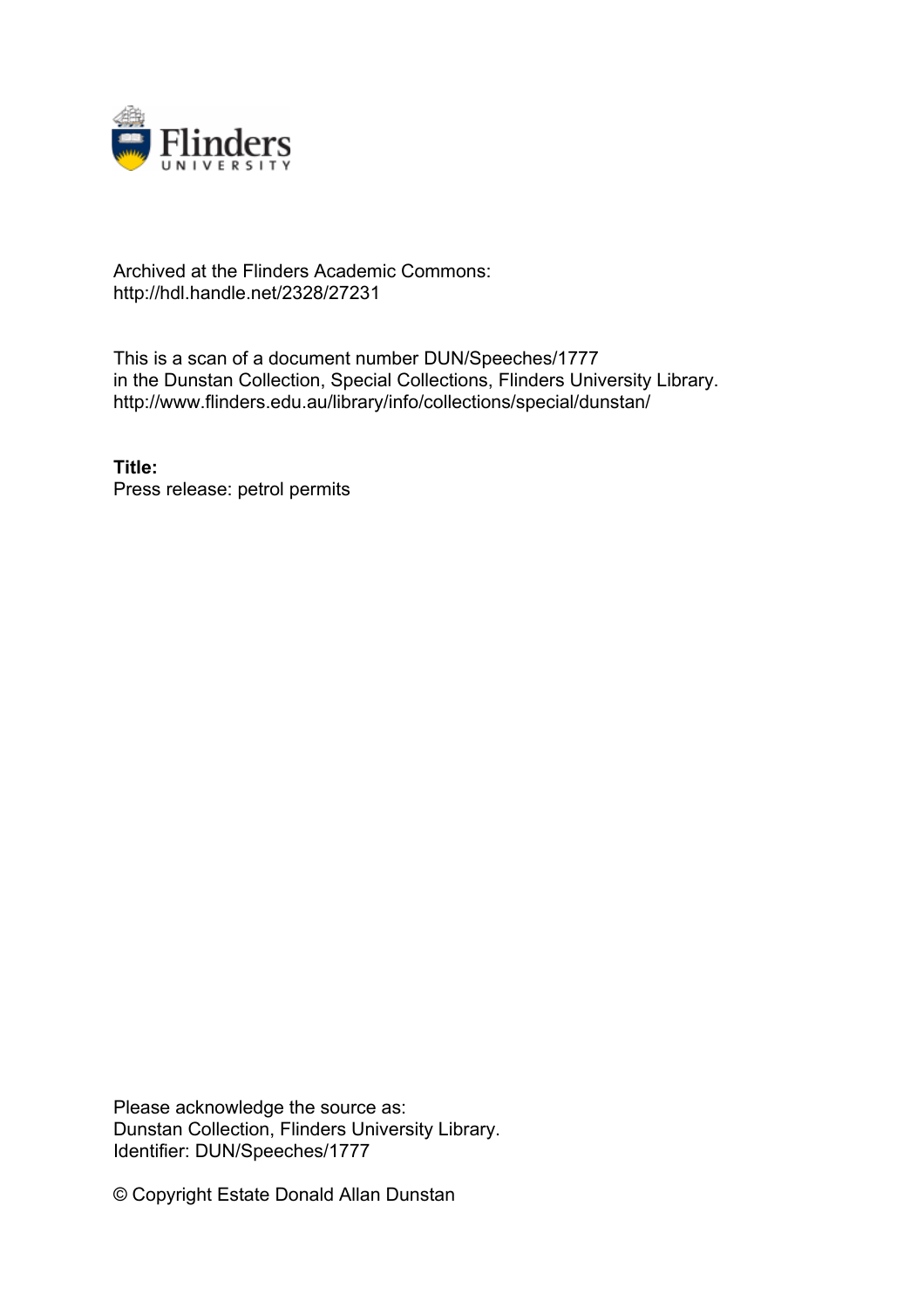

# Archived at the Flinders Academic Commons: http://hdl.handle.net/2328/27231

This is a scan of a document number DUN/Speeches/1777 in the Dunstan Collection, Special Collections, Flinders University Library. http://www.flinders.edu.au/library/info/collections/special/dunstan/

**Title:** Press release: petrol permits

Please acknowledge the source as: Dunstan Collection, Flinders University Library. Identifier: DUN/Speeches/1777

© Copyright Estate Donald Allan Dunstan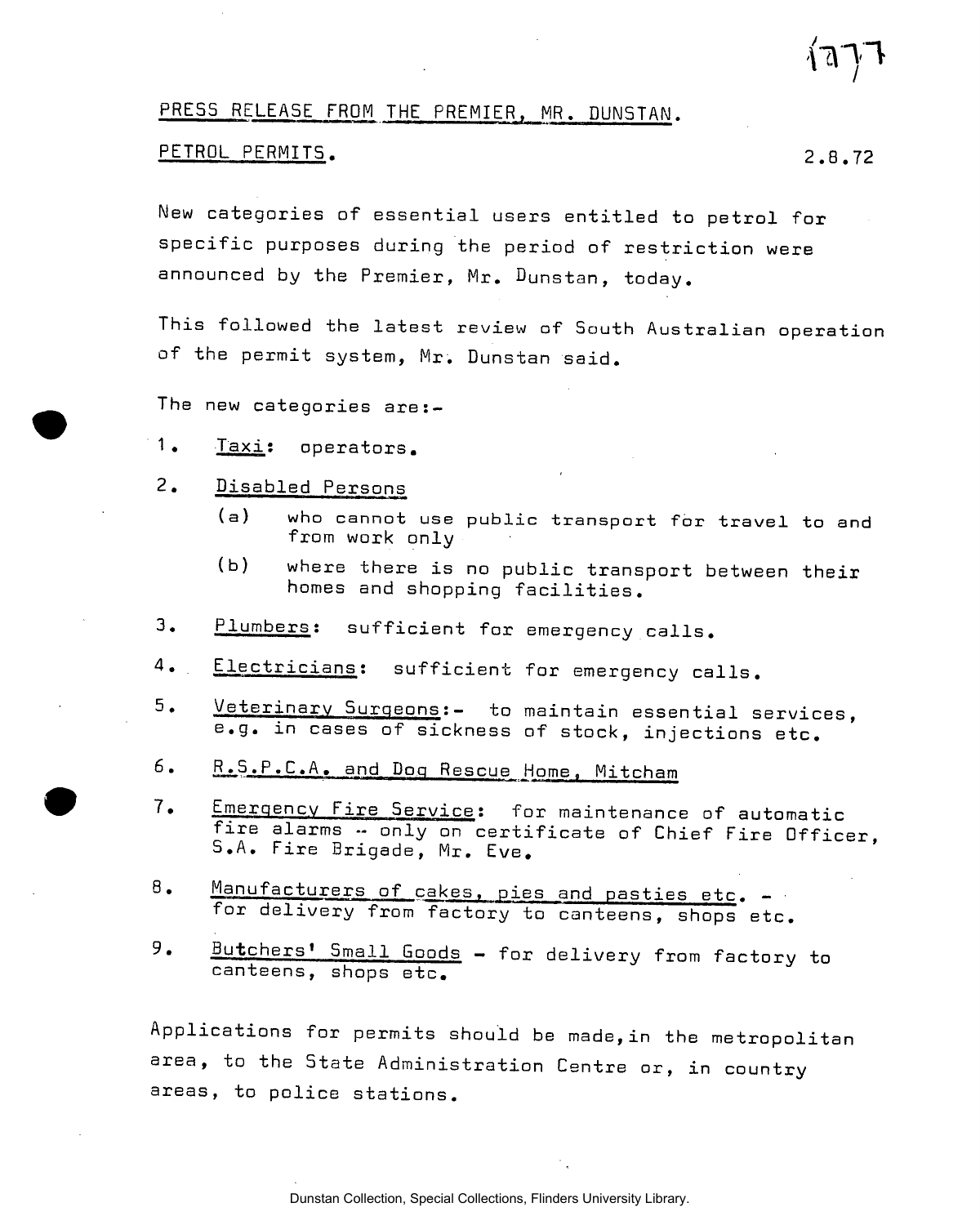### PRESS RELEASE FROM THE PREMIER, MR. DUN5TAN.

#### PETROL PERMITS. 2.8.72

New categories of essential users entitled to petrol for specific purposes during the period of restriction were announced by the Premier, Mr. Dunstan, today.

This followed the latest review of South Australian operation of the permit system, Mr. Dunstan said.

The new categories are:-

- 1. Taxi; operators.
- 2. Disabled Persons
	- (a) who cannot use public transport for travel to and from work only
	- (b) where there is no public transport between their homes and shopping facilities.
- 3. Plumbers: sufficient for emergency calls.
- Electricians: sufficient for emergency calls.  $4.$
- 5. Veterinary Surgeons:- to maintain essential services, e.g. in cases of sickness of stock, injections etc.
- 6. R.S.P.C.A. and Dog Rescue Home, Mitcham
- 7. Emergency Fire Service: for maintenance of automatic fire alarms -- only on certificate of Chief Fire Officer, S.A. Fire Brigade, Mr. Eve.
- 8. Manufacturers of cakes, pies and pasties etc. for delivery from factory to canteens, shops etc.
- 9. Butchers' Small Goods for delivery from factory to canteens, shops etc.

Applications for permits should be made,in the metropolitan area, to the State Administration Centre or, in country areas, to police stations.